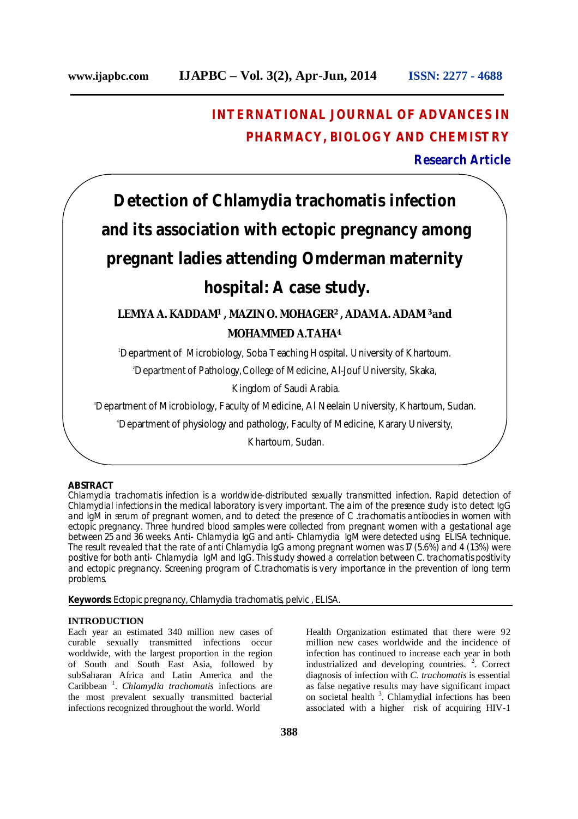## **INTERNATIONAL JOURNAL OF ADVANCES IN PHARMACY, BIOLOGY AND CHEMISTRY**

**Research Article**

# **Detection of Chlamydia** *trachomatis* **infection and its association with ectopic pregnancy among pregnant ladies attending Omderman maternity hospital: A case study.**

### **LEMYA A. KADDAM<sup>1</sup> , MAZIN O. MOHAGER<sup>2</sup>, ADAM A. ADAM <sup>3</sup>and MOHAMMED A.TAHA<sup>4</sup>**

<sup>1</sup>Department of Microbiology, Soba Teaching Hospital. University of Khartoum.

<sup>2</sup>Department of Pathology,College of Medicine, Al-Jouf University, Skaka,

Kingdom of Saudi Arabia.

<sup>3</sup>Department of Microbiology, Faculty of Medicine, AI Neelain University, Khartoum, Sudan.

<sup>4</sup>Department of physiology and pathology, Faculty of Medicine, Karary University,

Khartoum, Sudan.

#### **ABSTRACT**

*Chlamydia trachomatis* infection is a worldwide-distributed sexually transmitted infection. Rapid detection of Chlamydial infections in the medical laboratory is very important. The aim of the presence study is to detect IgG and IgM in serum of pregnant women, and to detect the presence of *C .trachomatis* antibodies in women with ectopic pregnancy. Three hundred blood samples were collected from pregnant women with a gestational age between 25 and 36 weeks. Anti- Chlamydia IgG and anti- Chlamydia IgM were detected using ELISA technique. The result revealed that the rate of anti Chlamydia IgG among pregnant women was 17 (5.6%) and 4 (1.3%) were positive for both anti- Chlamydia IgM and IgG. This study showed a correlation between C. trachomatis positivity and ectopic pregnancy. Screening program of C.trachomatis is very importance in the prevention of long term problems.

**Keywords:** Ectopic pregnancy, *Chlamydia trachomatis*, pelvic , ELISA.

#### **INTRODUCTION**

Each year an estimated 340 million new cases of curable sexually transmitted infections occur worldwide, with the largest proportion in the region of South and South East Asia, followed by subSaharan Africa and Latin America and the Caribbean <sup>1</sup> . *Chlamydia trachomatis* infections are the most prevalent sexually transmitted bacterial infections recognized throughout the world. World

Health Organization estimated that there were 92 million new cases worldwide and the incidence of infection has continued to increase each year in both industrialized and developing countries.  $2$ . Correct diagnosis of infection with *C. trachomatis* is essential as false negative results may have significant impact on societal health<sup>3</sup>. Chlamydial infections has been associated with a higher risk of acquiring HIV-1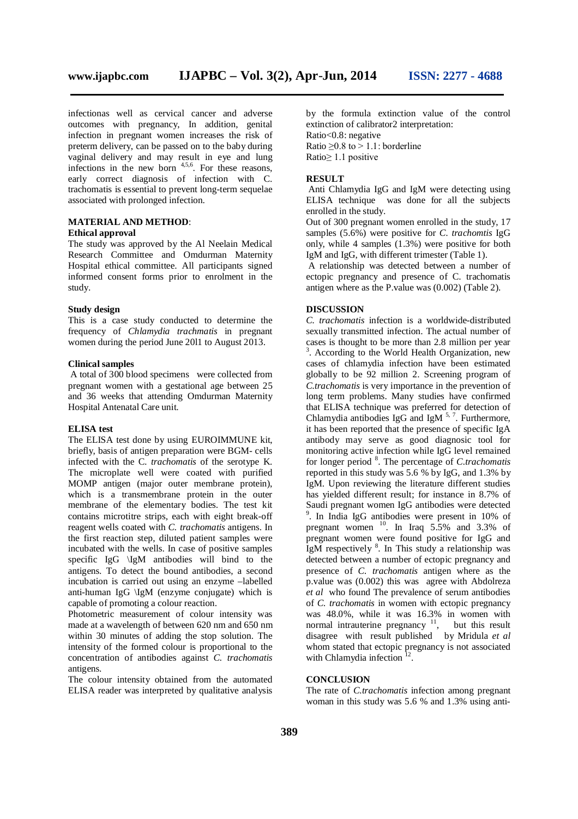infectionas well as cervical cancer and adverse outcomes with pregnancy, In addition, genital infection in pregnant women increases the risk of preterm delivery, can be passed on to the baby during vaginal delivery and may result in eye and lung infections in the new born  $4,5,6$ . For these reasons, early correct diagnosis of infection with C. trachomatis is essential to prevent long-term sequelae associated with prolonged infection.

#### **MATERIAL AND METHOD**: **Ethical approval**

The study was approved by the Al Neelain Medical Research Committee and Omdurman Maternity Hospital ethical committee. All participants signed informed consent forms prior to enrolment in the study.

#### **Study design**

This is a case study conducted to determine the frequency of *Chlamydia trachmatis* in pregnant women during the period June 20l1 to August 2013.

#### **Clinical samples**

A total of 300 blood specimens were collected from pregnant women with a gestational age between 25 and 36 weeks that attending Omdurman Maternity Hospital Antenatal Care unit.

#### **ELISA test**

The ELISA test done by using EUROIMMUNE kit, briefly, basis of antigen preparation were BGM- cells infected with the C*. trachomatis* of the serotype K. The microplate well were coated with purified MOMP antigen (major outer membrane protein), which is a transmembrane protein in the outer membrane of the elementary bodies. The test kit contains microtitre strips, each with eight break-off reagent wells coated with *C. trachomatis* antigens. In the first reaction step, diluted patient samples were incubated with the wells. In case of positive samples specific IgG \IgM antibodies will bind to the antigens. To detect the bound antibodies, a second incubation is carried out using an enzyme –labelled anti-human IgG \IgM (enzyme conjugate) which is capable of promoting a colour reaction.

Photometric measurement of colour intensity was made at a wavelength of between 620 nm and 650 nm within 30 minutes of adding the stop solution. The intensity of the formed colour is proportional to the concentration of antibodies against *C. trachomatis* antigens.

The colour intensity obtained from the automated ELISA reader was interpreted by qualitative analysis

by the formula extinction value of the control extinction of calibrator2 interpretation: Ratio<0.8: negative Ratio  $\geq 0.8$  to  $> 1.1$ : borderline Ratio≥ 1.1 positive

#### **RESULT**

Anti Chlamydia IgG and IgM were detecting using ELISA technique was done for all the subjects enrolled in the study.

Out of 300 pregnant women enrolled in the study, 17 samples (5.6%) were positive for *C. trachomtis* IgG only, while 4 samples (1.3%) were positive for both IgM and IgG, with different trimester (Table 1).

A relationship was detected between a number of ectopic pregnancy and presence of C. trachomatis antigen where as the P.value was (0.002) (Table 2).

#### **DISCUSSION**

*C. trachomatis* infection is a worldwide-distributed sexually transmitted infection. The actual number of cases is thought to be more than 2.8 million per year <sup>3</sup>. According to the World Health Organization, new cases of chlamydia infection have been estimated globally to be 92 million 2. Screening program of *C.trachomatis* is very importance in the prevention of long term problems. Many studies have confirmed that ELISA technique was preferred for detection of Chlamydia antibodies IgG and IgM  $<sup>5, 7</sup>$ . Furthermore,</sup> it has been reported that the presence of specific IgA antibody may serve as good diagnosic tool for monitoring active infection while IgG level remained for longer period <sup>8</sup> . The percentage of *C.trachomatis* reported in this study was 5.6 % by IgG, and 1.3% by IgM. Upon reviewing the literature different studies has yielded different result; for instance in 8.7% of Saudi pregnant women IgG antibodies were detected 9 . In India IgG antibodies were present in 10% of pregnant women  $^{10}$ . In Iraq 5.5% and 3.3% of pregnant women were found positive for IgG and IgM respectively  $8$ . In This study a relationship was detected between a number of ectopic pregnancy and presence of *C. trachomatis* antigen where as the p.value was (0.002) this was agree with Abdolreza *et al* who found The prevalence of serum antibodies of *C. trachomatis* in women with ectopic pregnancy was 48.0%, while it was 16.3% in women with normal intrauterine pregnancy  $11$ , but this result disagree with result published by Mridula *et al* whom stated that ectopic pregnancy is not associated with Chlamydia infection<sup>12</sup>.

#### **CONCLUSION**

The rate of *C.trachomatis* infection among pregnant woman in this study was 5.6 % and 1.3% using anti